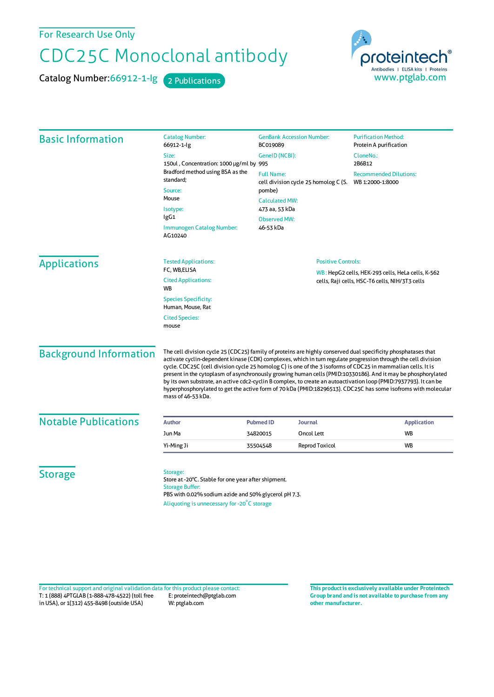For Research Use Only

## CDC25C Monoclonal antibody

Catalog Number: 66912-1-Ig 2 Publications

roteintech Antibodies | ELISA kits | Proteins www.ptglab.com

Basic Information Catalog Number: 66912-1-Ig Size: 150ul , Concentration: 1000 μg/ml by 995 Bradford method using BSA asthe standard; **Source** Mouse Isotype: IgG1 Immunogen Catalog Number: AG10240 GenBank Accession Number: BC019089 GeneID(NCBI): Full Name: cell division cycle 25 homolog C (S. pombe) CalculatedMW: 473 aa, 53 kDa ObservedMW: 46-53 kDa **Purification Method:** Protein A purification CloneNo.: 2B6B12 Recommended Dilutions: WB 1:2000-1:8000 Applications Tested Applications: FC, WB,ELISA Cited Applications: **W<sub>R</sub>** Species Specificity: Human, Mouse, Rat Cited Species: mouse Positive Controls: WB : HepG2 cells, HEK-293 cells, HeLa cells, K-562 cells, Raji cells, HSC-T6 cells, NIH/3T3 cells Background Information The cell division cycle 25 (CDC25) family of proteins are highly conserved dual specificity phosphatases that activate cyclin-dependent kinase (CDK) complexes, which in turn regulate progression through the cell division cycle. CDC25C (cell division cycle 25 homolog C) is one of the 3 isoforms of CDC25 in mammalian cells. It is present in the cytoplasm of asynchronously growing human cells(PMID:10330186). And it may be phosphorylated by its own substrate, an active cdc2-cyclin B complex, to create an autoactivation loop (PMID:7937793). It can be hyperphosphorylated to get the active form of 70 kDa (PMID:18296513). CDC25C hassome isofroms with molecular mass of 46-53 kDa. **Notable Publications Author Author Pubmed ID Journal Application Application** JunMa 34820015 Oncol Lett WB Yi-Ming Ji 35504548 Reprod Toxicol WB **Storage** Storage: Store at -20°C. Stable for one year after shipment. Storage Buffer: PBS with 0.02% sodium azide and 50% glycerol pH 7.3. Aliquoting is unnecessary for -20<sup>°</sup>C storage

T: 1 (888) 4PTGLAB (1-888-478-4522) (toll free in USA), or 1(312) 455-8498 (outside USA) E: proteintech@ptglab.com W: ptglab.com Fortechnical support and original validation data forthis product please contact: **This productis exclusively available under Proteintech**

**Group brand and is not available to purchase from any other manufacturer.**